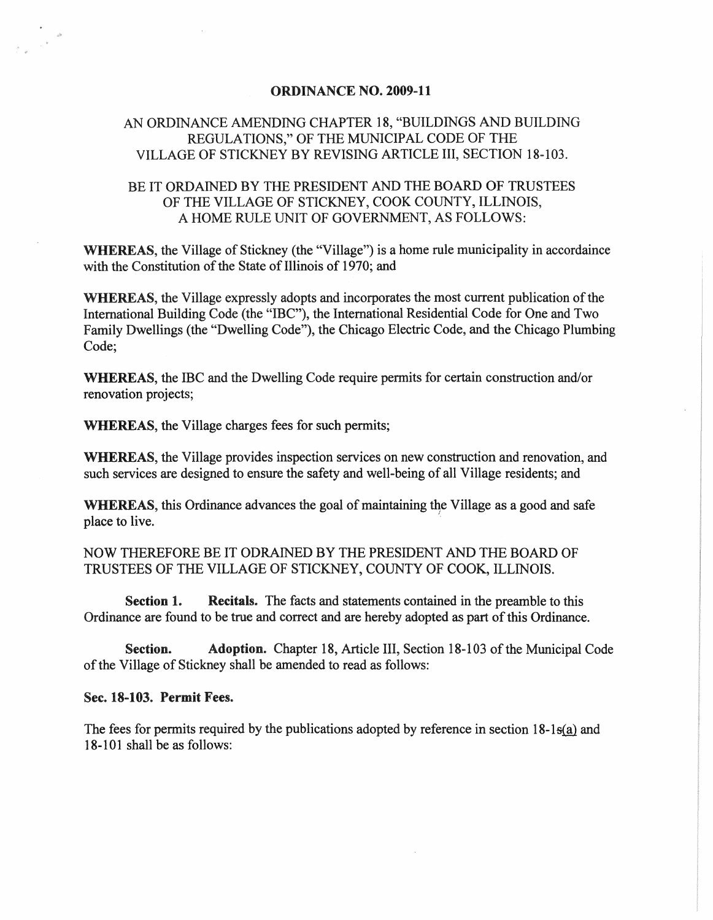#### ORDINANCE NO. 2009-11

# AN ORDINANCE AMENDING CHAPTER 18, "BUILDINGS AND BUILDING REGULATIONS," OF THE MUNICIPAL CODE OF THE VILLAGE OF STICKNEY BY REVISING ARTICLE III, SECTION 18-103.

# BE IT ORDAINED BY THE PRESIDENT AND THE BOARD OF TRUSTEES OF THE VILLAGE OF STICKNEY, COOK COUNTY, ILLINOIS, A HOME RULE UNIT OF GOVERNMENT, AS FOLLOWS:

WHEREAS, the Village of Stickney (the "Village") is a home rule municipality in accordaince with the Constitution of the State of Illinois of 1970; and

WHEREAS, the Village expressly adopts and incorporates the most current publication of the International Building Code (the "IBC"), the International Residential Code for One and Two Family Dwellings (the "Dwelling Code"), the Chicago Electric Code, and the Chicago Plumbing Code;

WHEREAS, the IBC and the Dwelling Code require permits for certain construction and/or renovation projects;

WHEREAS, the Village charges fees for such permits;

WHEREAS, the Village provides inspection services on new construction and renovation, and such services are designed to ensure the safety and well-being of all Village residents; and

WHEREAS, this Ordinance advances the goal of maintaining the Village as a good and safe place to live. .

NOW THEREFORE BE IT ODRAINED BY THE PRESIDENT AND THE BOARD OF TRUSTEES OF THE VILLAGE OF STICKNEY, COUNTY OF COOK, ILLINOIS.

Section 1. Recitals. The facts and statements contained in the preamble to this Ordinance are found to be true and correct and are hereby adopted as part of this Ordinance.

Section. Adoption. Chapter 18, Article III, Section 18-103 of the Municipal Code of the Village of Stickney shall be amended to read as follows:

#### Sec. 18-103. Permit Fees.

The fees for permits required by the publications adopted by reference in section  $18-1$  s(a) and 18-101 shall be as follows: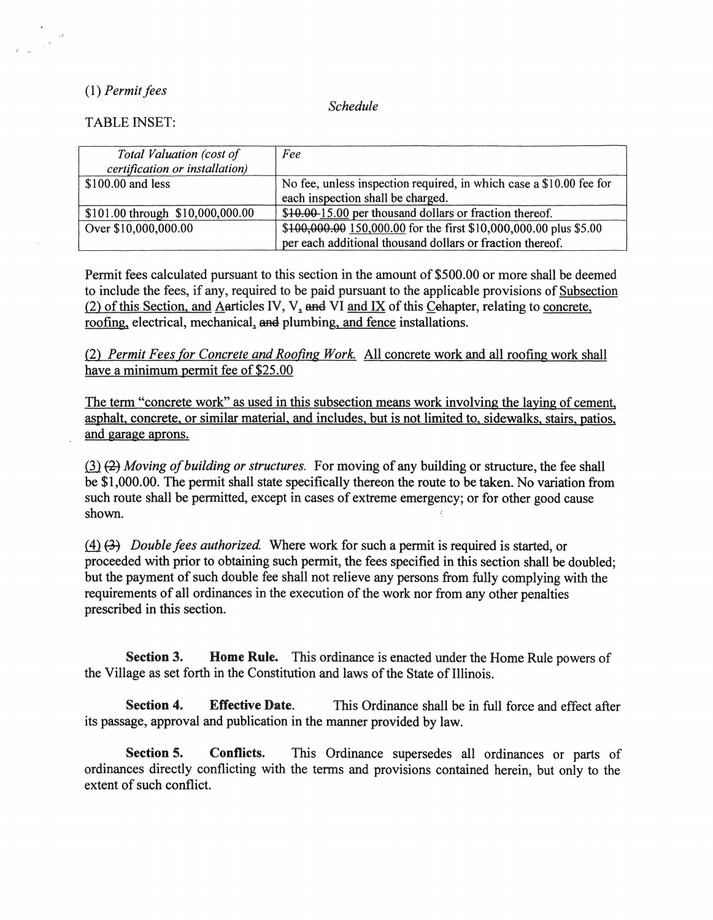## (1) Permit fees

..

*Schedule* 

TABLE INSET:

| Total Valuation (cost of         | Fee                                                                 |
|----------------------------------|---------------------------------------------------------------------|
| certification or installation)   |                                                                     |
| $$100.00$ and less               | No fee, unless inspection required, in which case a \$10.00 fee for |
|                                  | each inspection shall be charged.                                   |
| \$101.00 through \$10,000,000.00 | \$10.00-15.00 per thousand dollars or fraction thereof.             |
| Over \$10,000,000.00             | \$100,000.00 150,000.00 for the first \$10,000,000.00 plus \$5.00   |
|                                  | per each additional thousand dollars or fraction thereof.           |

Permit fees calculated pursuant to this section in the amount of \$500.00 or more shall be deemed to include the fees, if any, required to be paid pursuant to the applicable provisions of Subsection  $(2)$  of this Section, and Aarticles IV, V, and VI and IX of this Cehapter, relating to concrete, roofing, electrical, mechanical, and plumbing, and fence installations.

(2) *Permit Fees for Concrete and Roofing Work.* All concrete work and all roofing work shall have a minimum permit fee of \$25.00

The term "concrete work" as used in this subsection means work involving the laying of cement, asphalt. concrete, or similar material, and includes, but is not limited to, sidewalks. stairs, patios. and garage aprons.

(3) (2) Moving of building or structures. For moving of any building or structure, the fee shall be \$1,000.00. The permit shall state specifically thereon the route to be taken. No variation from such route shall be permitted, except in cases of extreme emergency; or for other good cause shown.

ffi ~ *Double fees authorized* Where work for such a permit is required is started, or proceeded with prior to obtaining such permit, the fees specified in this section shall be doubled; but the payment of such double fee shall not relieve any persons from fully complying with the requirements of all ordinances in the execution of the work nor from any other penalties prescribed in this section.

Section 3. Home Rule. This ordinance is enacted under the Home Rule powers of the Village as set forth in the Constitution and laws of the State of Illinois.

Section 4. Effective Date. This Ordinance shall be in full force and effect after its passage, approval and publication in the manner provided by law.

Section 5. Conflicts. This Ordinance supersedes all ordinances or parts of ordinances directly conflicting with the terms and provisions contained herein, but only to the extent of such conflict.